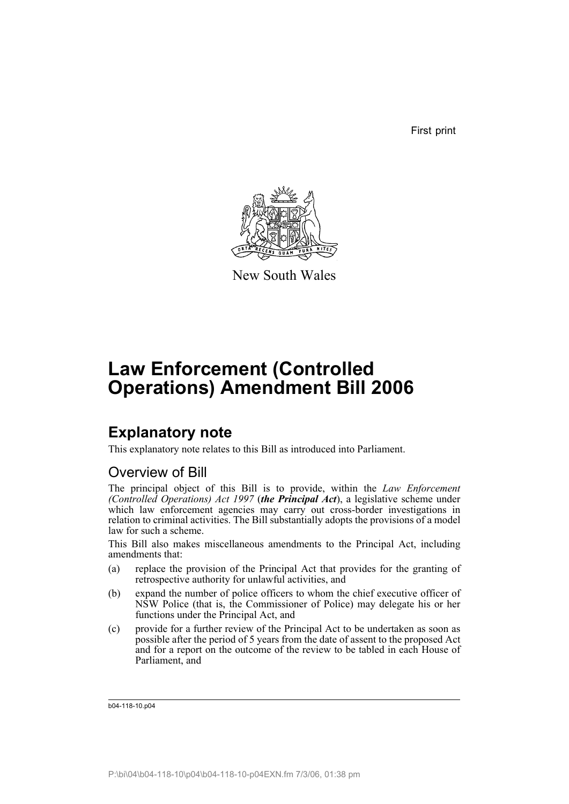First print



New South Wales

# **Law Enforcement (Controlled Operations) Amendment Bill 2006**

## **Explanatory note**

This explanatory note relates to this Bill as introduced into Parliament.

## Overview of Bill

The principal object of this Bill is to provide, within the *Law Enforcement (Controlled Operations) Act 1997* (*the Principal Act*), a legislative scheme under which law enforcement agencies may carry out cross-border investigations in relation to criminal activities. The Bill substantially adopts the provisions of a model law for such a scheme.

This Bill also makes miscellaneous amendments to the Principal Act, including amendments that:

- (a) replace the provision of the Principal Act that provides for the granting of retrospective authority for unlawful activities, and
- (b) expand the number of police officers to whom the chief executive officer of NSW Police (that is, the Commissioner of Police) may delegate his or her functions under the Principal Act, and
- (c) provide for a further review of the Principal Act to be undertaken as soon as possible after the period of 5 years from the date of assent to the proposed Act and for a report on the outcome of the review to be tabled in each House of Parliament, and

b04-118-10.p04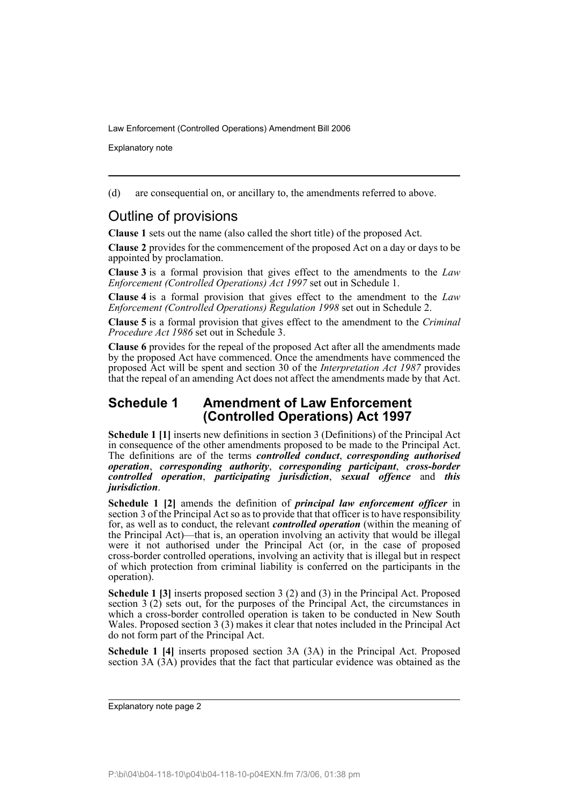Explanatory note

(d) are consequential on, or ancillary to, the amendments referred to above.

## Outline of provisions

**Clause 1** sets out the name (also called the short title) of the proposed Act.

**Clause 2** provides for the commencement of the proposed Act on a day or days to be appointed by proclamation.

**Clause 3** is a formal provision that gives effect to the amendments to the *Law Enforcement (Controlled Operations) Act 1997* set out in Schedule 1.

**Clause 4** is a formal provision that gives effect to the amendment to the *Law Enforcement (Controlled Operations) Regulation 1998* set out in Schedule 2.

**Clause 5** is a formal provision that gives effect to the amendment to the *Criminal Procedure Act 1986* set out in Schedule 3.

**Clause 6** provides for the repeal of the proposed Act after all the amendments made by the proposed Act have commenced. Once the amendments have commenced the proposed Act will be spent and section 30 of the *Interpretation Act 1987* provides that the repeal of an amending Act does not affect the amendments made by that Act.

## **Schedule 1 Amendment of Law Enforcement (Controlled Operations) Act 1997**

**Schedule 1 [1]** inserts new definitions in section 3 (Definitions) of the Principal Act in consequence of the other amendments proposed to be made to the Principal Act. The definitions are of the terms *controlled conduct*, *corresponding authorised operation*, *corresponding authority*, *corresponding participant*, *cross-border controlled operation*, *participating jurisdiction*, *sexual offence* and *this jurisdiction*.

**Schedule 1 [2]** amends the definition of *principal law enforcement officer* in section 3 of the Principal Act so as to provide that that officer is to have responsibility for, as well as to conduct, the relevant *controlled operation* (within the meaning of the Principal Act)—that is, an operation involving an activity that would be illegal were it not authorised under the Principal Act (or, in the case of proposed cross-border controlled operations, involving an activity that is illegal but in respect of which protection from criminal liability is conferred on the participants in the operation).

**Schedule 1 [3]** inserts proposed section 3 (2) and (3) in the Principal Act. Proposed section  $3(2)$  sets out, for the purposes of the Principal Act, the circumstances in which a cross-border controlled operation is taken to be conducted in New South Wales. Proposed section 3 (3) makes it clear that notes included in the Principal Act do not form part of the Principal Act.

**Schedule 1 [4]** inserts proposed section 3A (3A) in the Principal Act. Proposed section 3A (3A) provides that the fact that particular evidence was obtained as the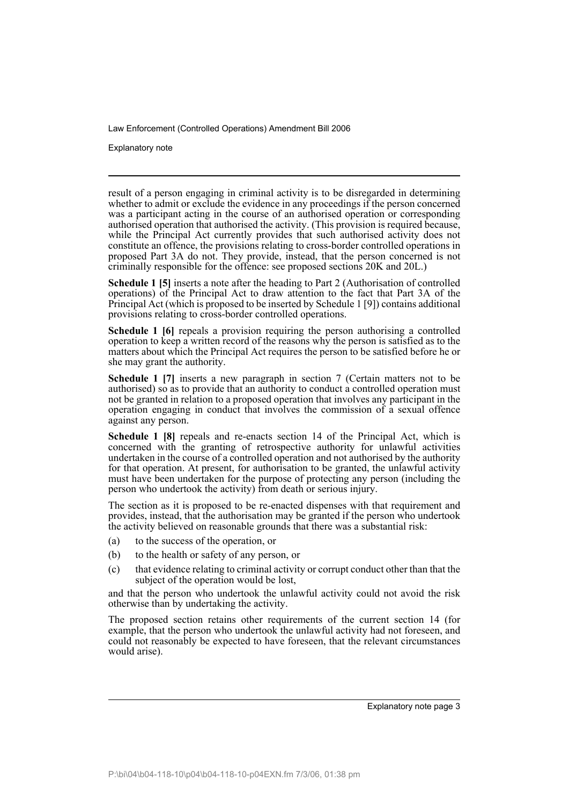Explanatory note

result of a person engaging in criminal activity is to be disregarded in determining whether to admit or exclude the evidence in any proceedings if the person concerned was a participant acting in the course of an authorised operation or corresponding authorised operation that authorised the activity. (This provision is required because, while the Principal Act currently provides that such authorised activity does not constitute an offence, the provisions relating to cross-border controlled operations in proposed Part 3A do not. They provide, instead, that the person concerned is not criminally responsible for the offence: see proposed sections 20K and 20L.)

**Schedule 1 [5]** inserts a note after the heading to Part 2 (Authorisation of controlled operations) of the Principal Act to draw attention to the fact that Part 3A of the Principal Act (which is proposed to be inserted by Schedule 1 [9]) contains additional provisions relating to cross-border controlled operations.

**Schedule 1 [6]** repeals a provision requiring the person authorising a controlled operation to keep a written record of the reasons why the person is satisfied as to the matters about which the Principal Act requires the person to be satisfied before he or she may grant the authority.

**Schedule 1** [7] inserts a new paragraph in section 7 (Certain matters not to be authorised) so as to provide that an authority to conduct a controlled operation must not be granted in relation to a proposed operation that involves any participant in the operation engaging in conduct that involves the commission of a sexual offence against any person.

**Schedule 1 [8]** repeals and re-enacts section 14 of the Principal Act, which is concerned with the granting of retrospective authority for unlawful activities undertaken in the course of a controlled operation and not authorised by the authority for that operation. At present, for authorisation to be granted, the unlawful activity must have been undertaken for the purpose of protecting any person (including the person who undertook the activity) from death or serious injury.

The section as it is proposed to be re-enacted dispenses with that requirement and provides, instead, that the authorisation may be granted if the person who undertook the activity believed on reasonable grounds that there was a substantial risk:

- (a) to the success of the operation, or
- (b) to the health or safety of any person, or
- (c) that evidence relating to criminal activity or corrupt conduct other than that the subject of the operation would be lost,

and that the person who undertook the unlawful activity could not avoid the risk otherwise than by undertaking the activity.

The proposed section retains other requirements of the current section 14 (for example, that the person who undertook the unlawful activity had not foreseen, and could not reasonably be expected to have foreseen, that the relevant circumstances would arise).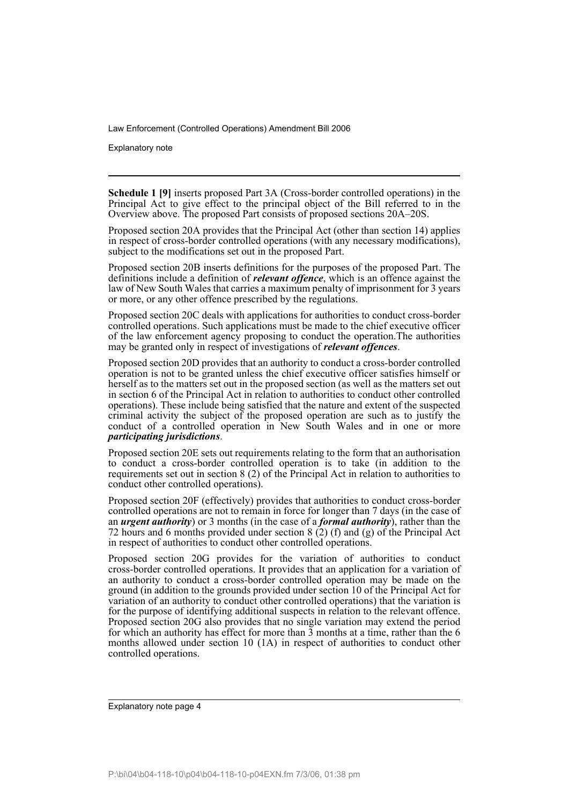Explanatory note

**Schedule 1 [9]** inserts proposed Part 3A (Cross-border controlled operations) in the Principal Act to give effect to the principal object of the Bill referred to in the Overview above. The proposed Part consists of proposed sections 20A–20S.

Proposed section 20A provides that the Principal Act (other than section 14) applies in respect of cross-border controlled operations (with any necessary modifications), subject to the modifications set out in the proposed Part.

Proposed section 20B inserts definitions for the purposes of the proposed Part. The definitions include a definition of *relevant offence*, which is an offence against the law of New South Wales that carries a maximum penalty of imprisonment for 3 years or more, or any other offence prescribed by the regulations.

Proposed section 20C deals with applications for authorities to conduct cross-border controlled operations. Such applications must be made to the chief executive officer of the law enforcement agency proposing to conduct the operation.The authorities may be granted only in respect of investigations of *relevant offences*.

Proposed section 20D provides that an authority to conduct a cross-border controlled operation is not to be granted unless the chief executive officer satisfies himself or herself as to the matters set out in the proposed section (as well as the matters set out in section 6 of the Principal Act in relation to authorities to conduct other controlled operations). These include being satisfied that the nature and extent of the suspected criminal activity the subject of the proposed operation are such as to justify the conduct of a controlled operation in New South Wales and in one or more *participating jurisdictions*.

Proposed section 20E sets out requirements relating to the form that an authorisation to conduct a cross-border controlled operation is to take (in addition to the requirements set out in section 8 (2) of the Principal Act in relation to authorities to conduct other controlled operations).

Proposed section 20F (effectively) provides that authorities to conduct cross-border controlled operations are not to remain in force for longer than 7 days (in the case of an *urgent authority*) or 3 months (in the case of a *formal authority*), rather than the 72 hours and 6 months provided under section 8 (2) (f) and (g) of the Principal Act in respect of authorities to conduct other controlled operations.

Proposed section 20G provides for the variation of authorities to conduct cross-border controlled operations. It provides that an application for a variation of an authority to conduct a cross-border controlled operation may be made on the ground (in addition to the grounds provided under section 10 of the Principal Act for variation of an authority to conduct other controlled operations) that the variation is for the purpose of identifying additional suspects in relation to the relevant offence. Proposed section 20G also provides that no single variation may extend the period for which an authority has effect for more than 3 months at a time, rather than the 6 months allowed under section 10 (1A) in respect of authorities to conduct other controlled operations.

Explanatory note page 4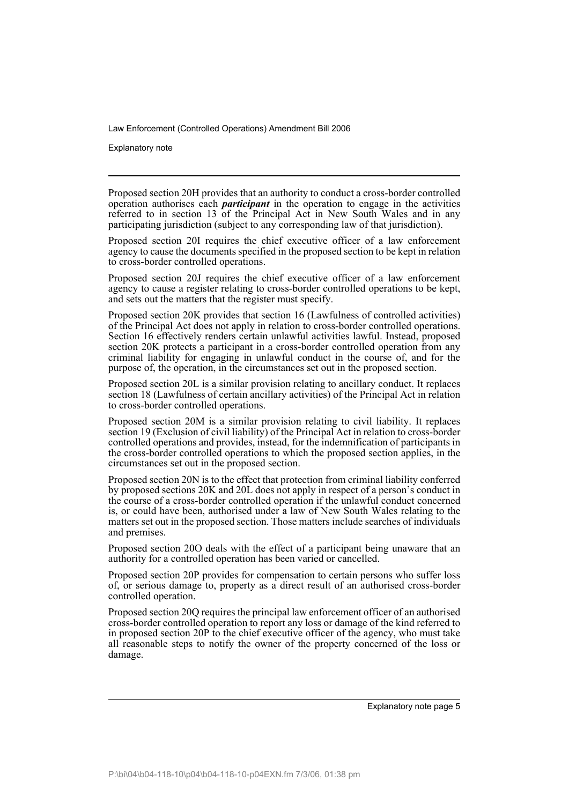Explanatory note

Proposed section 20H provides that an authority to conduct a cross-border controlled operation authorises each *participant* in the operation to engage in the activities referred to in section 13 of the Principal Act in New South Wales and in any participating jurisdiction (subject to any corresponding law of that jurisdiction).

Proposed section 20I requires the chief executive officer of a law enforcement agency to cause the documents specified in the proposed section to be kept in relation to cross-border controlled operations.

Proposed section 20J requires the chief executive officer of a law enforcement agency to cause a register relating to cross-border controlled operations to be kept, and sets out the matters that the register must specify.

Proposed section 20K provides that section 16 (Lawfulness of controlled activities) of the Principal Act does not apply in relation to cross-border controlled operations. Section 16 effectively renders certain unlawful activities lawful. Instead, proposed section 20K protects a participant in a cross-border controlled operation from any criminal liability for engaging in unlawful conduct in the course of, and for the purpose of, the operation, in the circumstances set out in the proposed section.

Proposed section 20L is a similar provision relating to ancillary conduct. It replaces section 18 (Lawfulness of certain ancillary activities) of the Principal Act in relation to cross-border controlled operations.

Proposed section 20M is a similar provision relating to civil liability. It replaces section 19 (Exclusion of civil liability) of the Principal Act in relation to cross-border controlled operations and provides, instead, for the indemnification of participants in the cross-border controlled operations to which the proposed section applies, in the circumstances set out in the proposed section.

Proposed section 20N is to the effect that protection from criminal liability conferred by proposed sections 20K and 20L does not apply in respect of a person's conduct in the course of a cross-border controlled operation if the unlawful conduct concerned is, or could have been, authorised under a law of New South Wales relating to the matters set out in the proposed section. Those matters include searches of individuals and premises.

Proposed section 20O deals with the effect of a participant being unaware that an authority for a controlled operation has been varied or cancelled.

Proposed section 20P provides for compensation to certain persons who suffer loss of, or serious damage to, property as a direct result of an authorised cross-border controlled operation.

Proposed section 20Q requires the principal law enforcement officer of an authorised cross-border controlled operation to report any loss or damage of the kind referred to in proposed section 20P to the chief executive officer of the agency, who must take all reasonable steps to notify the owner of the property concerned of the loss or damage.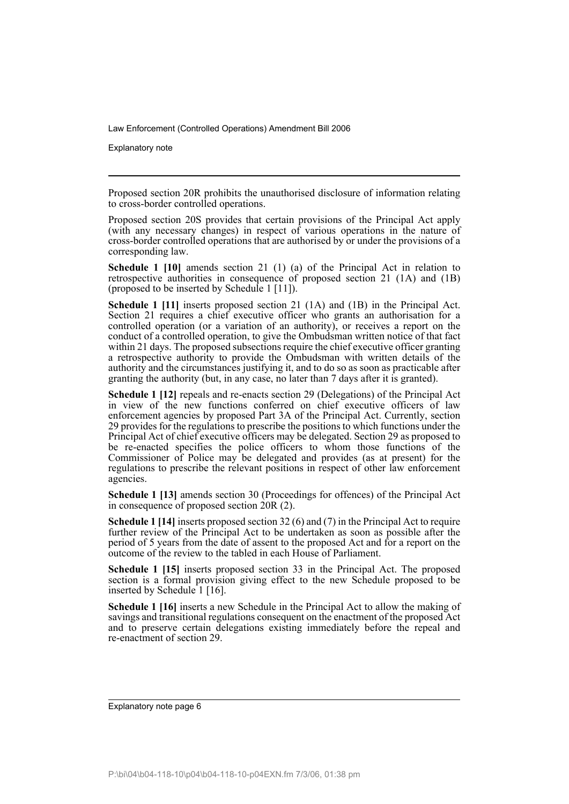Explanatory note

Proposed section 20R prohibits the unauthorised disclosure of information relating to cross-border controlled operations.

Proposed section 20S provides that certain provisions of the Principal Act apply (with any necessary changes) in respect of various operations in the nature of cross-border controlled operations that are authorised by or under the provisions of a corresponding law.

**Schedule 1 [10]** amends section 21 (1) (a) of the Principal Act in relation to retrospective authorities in consequence of proposed section 21 (1A) and (1B) (proposed to be inserted by Schedule 1 [11]).

**Schedule 1 [11]** inserts proposed section 21 (1A) and (1B) in the Principal Act. Section 21 requires a chief executive officer who grants an authorisation for a controlled operation (or a variation of an authority), or receives a report on the conduct of a controlled operation, to give the Ombudsman written notice of that fact within 21 days. The proposed subsections require the chief executive officer granting a retrospective authority to provide the Ombudsman with written details of the authority and the circumstances justifying it, and to do so as soon as practicable after granting the authority (but, in any case, no later than 7 days after it is granted).

**Schedule 1 [12]** repeals and re-enacts section 29 (Delegations) of the Principal Act in view of the new functions conferred on chief executive officers of law enforcement agencies by proposed Part 3A of the Principal Act. Currently, section 29 provides for the regulations to prescribe the positions to which functions under the Principal Act of chief executive officers may be delegated. Section 29 as proposed to be re-enacted specifies the police officers to whom those functions of the Commissioner of Police may be delegated and provides (as at present) for the regulations to prescribe the relevant positions in respect of other law enforcement agencies.

**Schedule 1 [13]** amends section 30 (Proceedings for offences) of the Principal Act in consequence of proposed section 20R (2).

**Schedule 1 [14]** inserts proposed section 32 (6) and (7) in the Principal Act to require further review of the Principal Act to be undertaken as soon as possible after the period of 5 years from the date of assent to the proposed Act and for a report on the outcome of the review to the tabled in each House of Parliament.

**Schedule 1 [15]** inserts proposed section 33 in the Principal Act. The proposed section is a formal provision giving effect to the new Schedule proposed to be inserted by Schedule 1 [16].

**Schedule 1 [16]** inserts a new Schedule in the Principal Act to allow the making of savings and transitional regulations consequent on the enactment of the proposed Act and to preserve certain delegations existing immediately before the repeal and re-enactment of section 29.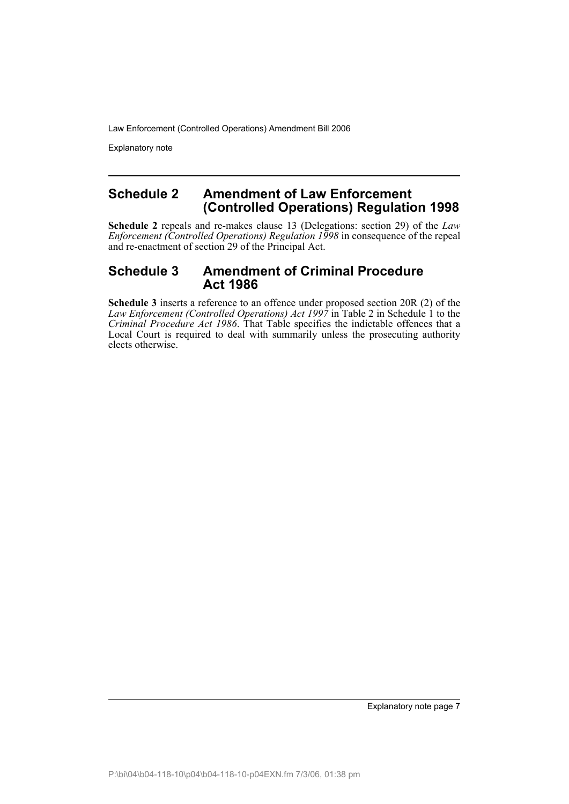Explanatory note

## **Schedule 2 Amendment of Law Enforcement (Controlled Operations) Regulation 1998**

**Schedule 2** repeals and re-makes clause 13 (Delegations: section 29) of the *Law Enforcement (Controlled Operations) Regulation 1998* in consequence of the repeal and re-enactment of section 29 of the Principal Act.

## **Schedule 3 Amendment of Criminal Procedure Act 1986**

**Schedule 3** inserts a reference to an offence under proposed section 20R (2) of the *Law Enforcement (Controlled Operations) Act 1997* in Table 2 in Schedule 1 to the *Criminal Procedure Act 1986*. That Table specifies the indictable offences that a Local Court is required to deal with summarily unless the prosecuting authority elects otherwise.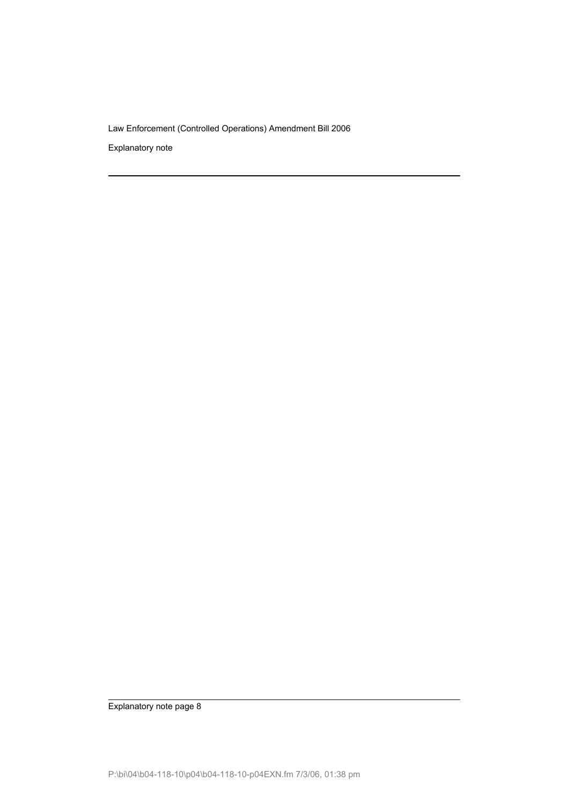Explanatory note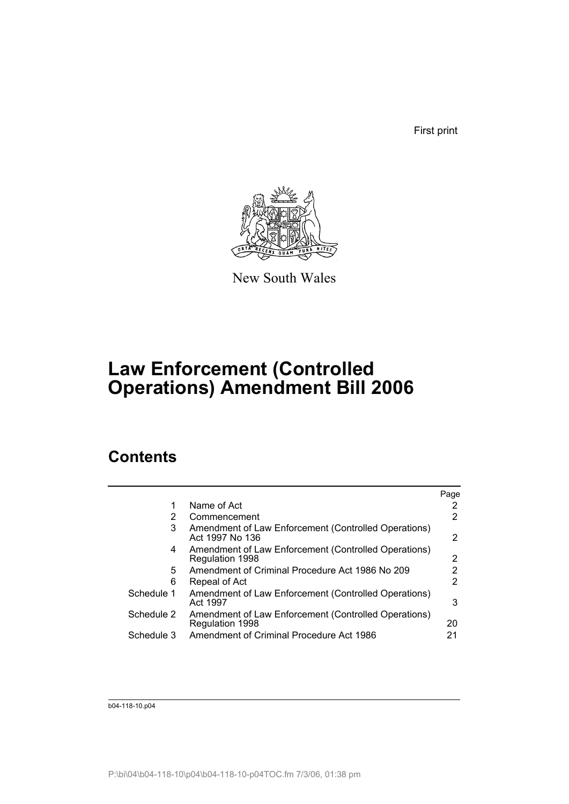First print



New South Wales

# **Law Enforcement (Controlled Operations) Amendment Bill 2006**

## **Contents**

|            |                                                                         | Page |
|------------|-------------------------------------------------------------------------|------|
|            | Name of Act                                                             |      |
| 2          | Commencement                                                            |      |
| 3          | Amendment of Law Enforcement (Controlled Operations)<br>Act 1997 No 136 | 2    |
| 4          | Amendment of Law Enforcement (Controlled Operations)<br>Regulation 1998 | 2    |
| 5          | Amendment of Criminal Procedure Act 1986 No 209                         | 2    |
| 6          | Repeal of Act                                                           | 2    |
| Schedule 1 | Amendment of Law Enforcement (Controlled Operations)<br>Act 1997        | 3    |
| Schedule 2 | Amendment of Law Enforcement (Controlled Operations)<br>Regulation 1998 | 20   |
| Schedule 3 | Amendment of Criminal Procedure Act 1986                                | 21   |

b04-118-10.p04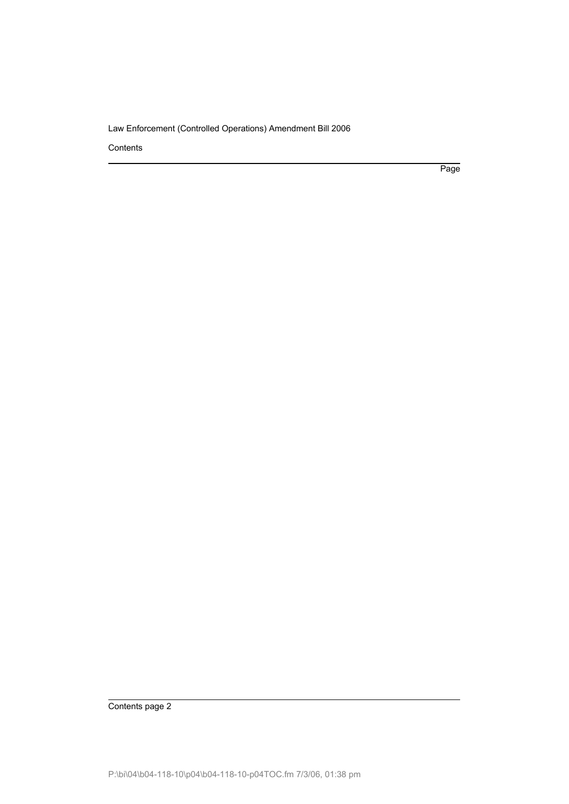Contents

Page

Contents page 2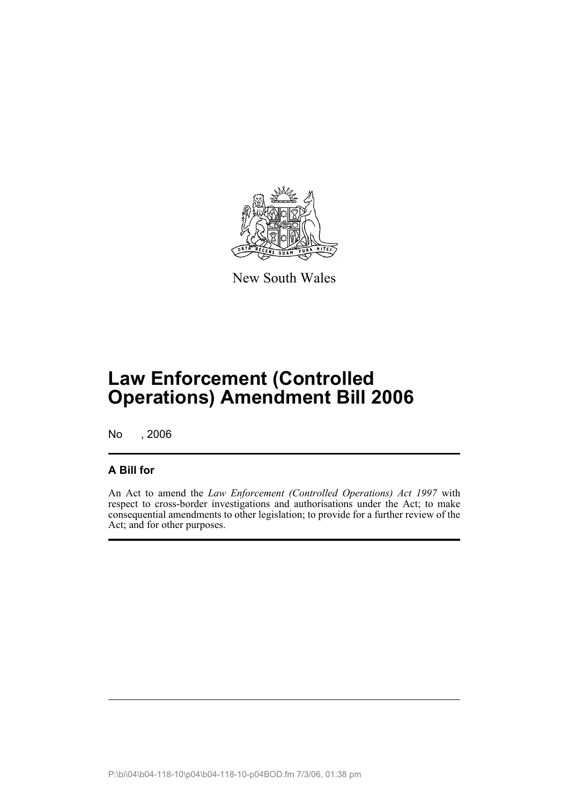

New South Wales

# **Law Enforcement (Controlled Operations) Amendment Bill 2006**

No , 2006

### **A Bill for**

An Act to amend the *Law Enforcement (Controlled Operations) Act 1997* with respect to cross-border investigations and authorisations under the Act; to make consequential amendments to other legislation; to provide for a further review of the Act; and for other purposes.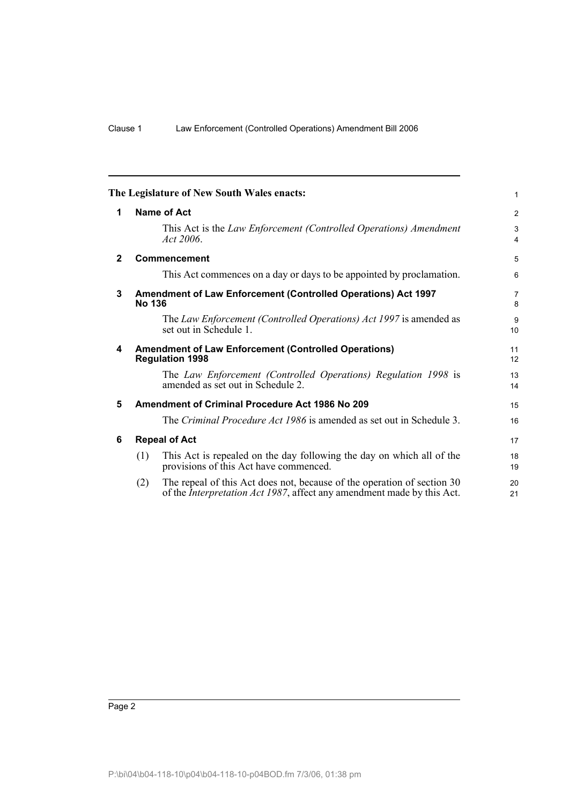<span id="page-11-5"></span><span id="page-11-4"></span><span id="page-11-3"></span><span id="page-11-2"></span><span id="page-11-1"></span><span id="page-11-0"></span>

|              | The Legislature of New South Wales enacts:                                                                                                                       | 1                   |
|--------------|------------------------------------------------------------------------------------------------------------------------------------------------------------------|---------------------|
| 1            | <b>Name of Act</b>                                                                                                                                               | $\overline{2}$      |
|              | This Act is the Law Enforcement (Controlled Operations) Amendment<br>Act 2006.                                                                                   | 3<br>4              |
| $\mathbf{2}$ | Commencement                                                                                                                                                     | 5                   |
|              | This Act commences on a day or days to be appointed by proclamation.                                                                                             | 6                   |
| 3            | Amendment of Law Enforcement (Controlled Operations) Act 1997<br><b>No 136</b>                                                                                   | $\overline{7}$<br>8 |
|              | The Law Enforcement (Controlled Operations) Act 1997 is amended as<br>set out in Schedule 1.                                                                     | 9<br>10             |
| 4            | <b>Amendment of Law Enforcement (Controlled Operations)</b><br><b>Regulation 1998</b>                                                                            | 11<br>12            |
|              | The Law Enforcement (Controlled Operations) Regulation 1998 is<br>amended as set out in Schedule 2.                                                              | 13<br>14            |
| 5            | Amendment of Criminal Procedure Act 1986 No 209                                                                                                                  | 15                  |
|              | The Criminal Procedure Act 1986 is amended as set out in Schedule 3.                                                                                             | 16                  |
| 6            | <b>Repeal of Act</b>                                                                                                                                             | 17                  |
|              | This Act is repealed on the day following the day on which all of the<br>(1)<br>provisions of this Act have commenced.                                           | 18<br>19            |
|              | The repeal of this Act does not, because of the operation of section 30<br>(2)<br>of the <i>Interpretation Act 1987</i> , affect any amendment made by this Act. | 20<br>21            |
|              |                                                                                                                                                                  |                     |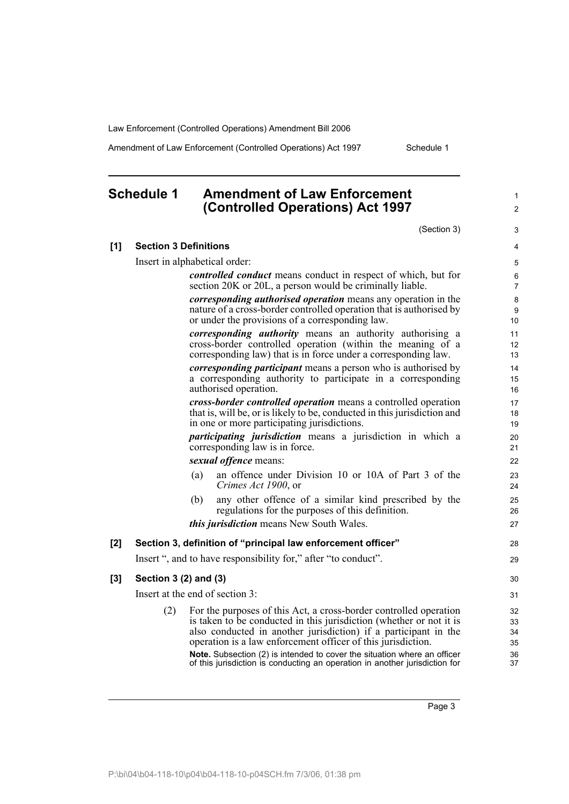Amendment of Law Enforcement (Controlled Operations) Act 1997 Schedule 1

## <span id="page-12-0"></span>**Schedule 1 Amendment of Law Enforcement (Controlled Operations) Act 1997**

(Section 3)

1  $\mathfrak{p}$ 

#### **[1] Section 3 Definitions**

Insert in alphabetical order:

*controlled conduct* means conduct in respect of which, but for section 20K or 20L, a person would be criminally liable.

*corresponding authorised operation* means any operation in the nature of a cross-border controlled operation that is authorised by or under the provisions of a corresponding law.

*corresponding authority* means an authority authorising a cross-border controlled operation (within the meaning of a corresponding law) that is in force under a corresponding law.

*corresponding participant* means a person who is authorised by a corresponding authority to participate in a corresponding authorised operation.

*cross-border controlled operation* means a controlled operation that is, will be, or is likely to be, conducted in this jurisdiction and in one or more participating jurisdictions.

*participating jurisdiction* means a jurisdiction in which a corresponding law is in force.

*sexual offence* means:

- (a) an offence under Division 10 or 10A of Part 3 of the *Crimes Act 1900*, or
- (b) any other offence of a similar kind prescribed by the regulations for the purposes of this definition.

*this jurisdiction* means New South Wales.

#### **[2] Section 3, definition of "principal law enforcement officer"**

Insert ", and to have responsibility for," after "to conduct".

#### **[3] Section 3 (2) and (3)**

Insert at the end of section 3:

(2) For the purposes of this Act, a cross-border controlled operation is taken to be conducted in this jurisdiction (whether or not it is also conducted in another jurisdiction) if a participant in the operation is a law enforcement officer of this jurisdiction.

**Note.** Subsection (2) is intended to cover the situation where an officer of this jurisdiction is conducting an operation in another jurisdiction for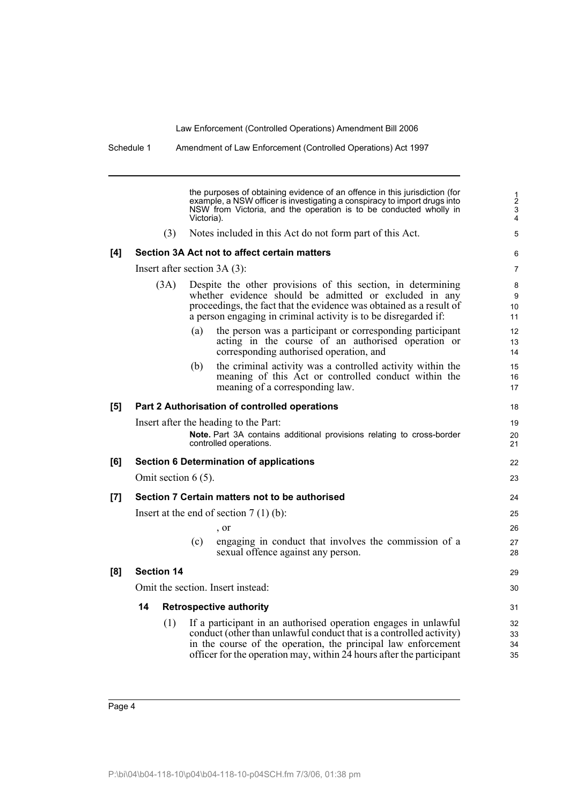29 30

Schedule 1 Amendment of Law Enforcement (Controlled Operations) Act 1997

the purposes of obtaining evidence of an offence in this jurisdiction (for example, a NSW officer is investigating a conspiracy to import drugs into NSW from Victoria, and the operation is to be conducted wholly in Victoria). (3) Notes included in this Act do not form part of this Act. **[4] Section 3A Act not to affect certain matters** Insert after section 3A (3): (3A) Despite the other provisions of this section, in determining whether evidence should be admitted or excluded in any proceedings, the fact that the evidence was obtained as a result of a person engaging in criminal activity is to be disregarded if: (a) the person was a participant or corresponding participant acting in the course of an authorised operation or corresponding authorised operation, and (b) the criminal activity was a controlled activity within the meaning of this Act or controlled conduct within the meaning of a corresponding law. **[5] Part 2 Authorisation of controlled operations** Insert after the heading to the Part: **Note.** Part 3A contains additional provisions relating to cross-border controlled operations. **[6] Section 6 Determination of applications** Omit section 6 (5). **[7] Section 7 Certain matters not to be authorised** Insert at the end of section  $7(1)(b)$ : , or (c) engaging in conduct that involves the commission of a sexual offence against any person. **[8] Section 14** Omit the section. Insert instead: **14 Retrospective authority** (1) If a participant in an authorised operation engages in unlawful conduct (other than unlawful conduct that is a controlled activity) in the course of the operation, the principal law enforcement officer for the operation may, within 24 hours after the participant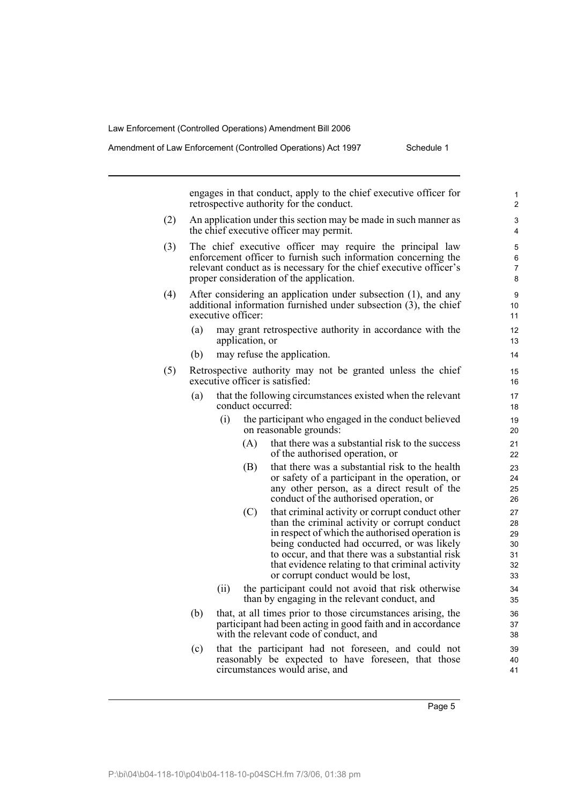engages in that conduct, apply to the chief executive officer for retrospective authority for the conduct. (2) An application under this section may be made in such manner as the chief executive officer may permit. (3) The chief executive officer may require the principal law enforcement officer to furnish such information concerning the relevant conduct as is necessary for the chief executive officer's proper consideration of the application. (4) After considering an application under subsection (1), and any additional information furnished under subsection (3), the chief executive officer: (a) may grant retrospective authority in accordance with the application, or (b) may refuse the application. (5) Retrospective authority may not be granted unless the chief executive officer is satisfied: (a) that the following circumstances existed when the relevant conduct occurred: (i) the participant who engaged in the conduct believed on reasonable grounds: (A) that there was a substantial risk to the success of the authorised operation, or (B) that there was a substantial risk to the health or safety of a participant in the operation, or any other person, as a direct result of the conduct of the authorised operation, or (C) that criminal activity or corrupt conduct other than the criminal activity or corrupt conduct in respect of which the authorised operation is being conducted had occurred, or was likely to occur, and that there was a substantial risk that evidence relating to that criminal activity or corrupt conduct would be lost, (ii) the participant could not avoid that risk otherwise than by engaging in the relevant conduct, and (b) that, at all times prior to those circumstances arising, the participant had been acting in good faith and in accordance with the relevant code of conduct, and (c) that the participant had not foreseen, and could not reasonably be expected to have foreseen, that those 1  $\overline{2}$ 3 4 5 6 7 8 9 10 11 12 13 14 15 16 17 18 19  $20$ 21 22 23  $24$ 25 26 27 28 29 30 31 32 33 34 35 36 37 38 39 40

Page 5

41

circumstances would arise, and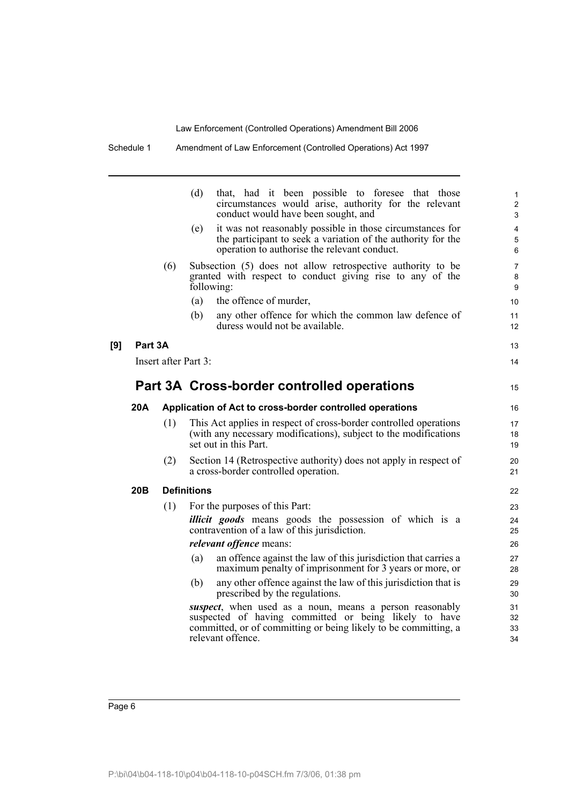|         |                      | (d)<br>that, had it been possible to foresee that those<br>circumstances would arise, authority for the relevant<br>conduct would have been sought, and                                                  | 1<br>$\overline{c}$<br>3 |
|---------|----------------------|----------------------------------------------------------------------------------------------------------------------------------------------------------------------------------------------------------|--------------------------|
|         |                      | it was not reasonably possible in those circumstances for<br>(e)<br>the participant to seek a variation of the authority for the<br>operation to authorise the relevant conduct.                         | 4<br>5<br>6              |
|         | (6)                  | Subsection (5) does not allow retrospective authority to be<br>granted with respect to conduct giving rise to any of the<br>following:                                                                   | 7<br>8<br>9              |
|         |                      | the offence of murder,<br>(a)                                                                                                                                                                            | 10                       |
|         |                      | any other offence for which the common law defence of<br>(b)<br>duress would not be available.                                                                                                           | 11<br>12                 |
| Part 3A |                      |                                                                                                                                                                                                          | 13                       |
|         | Insert after Part 3: |                                                                                                                                                                                                          | 14                       |
|         |                      |                                                                                                                                                                                                          |                          |
|         |                      | Part 3A Cross-border controlled operations                                                                                                                                                               | 15                       |
| 20A     |                      | Application of Act to cross-border controlled operations                                                                                                                                                 | 16                       |
|         | (1)                  | This Act applies in respect of cross-border controlled operations<br>(with any necessary modifications), subject to the modifications<br>set out in this Part.                                           | 17<br>18<br>19           |
|         | (2)                  | Section 14 (Retrospective authority) does not apply in respect of<br>a cross-border controlled operation.                                                                                                | 20<br>21                 |
| 20B     |                      | <b>Definitions</b>                                                                                                                                                                                       | 22                       |
|         | (1)                  | For the purposes of this Part:                                                                                                                                                                           | 23                       |
|         |                      | <i>illicit goods</i> means goods the possession of which is a<br>contravention of a law of this jurisdiction.                                                                                            | 24<br>25                 |
|         |                      | <i>relevant offence</i> means:                                                                                                                                                                           | 26                       |
|         |                      | an offence against the law of this jurisdiction that carries a<br>(a)<br>maximum penalty of imprisonment for 3 years or more, or                                                                         | 27<br>28                 |
|         |                      | any other offence against the law of this jurisdiction that is<br>(b)<br>prescribed by the regulations.                                                                                                  | 29<br>30                 |
|         |                      | suspect, when used as a noun, means a person reasonably<br>suspected of having committed or being likely to have<br>committed, or of committing or being likely to be committing, a<br>relevant offence. | 31<br>32<br>33<br>34     |
|         |                      |                                                                                                                                                                                                          |                          |

**[9]**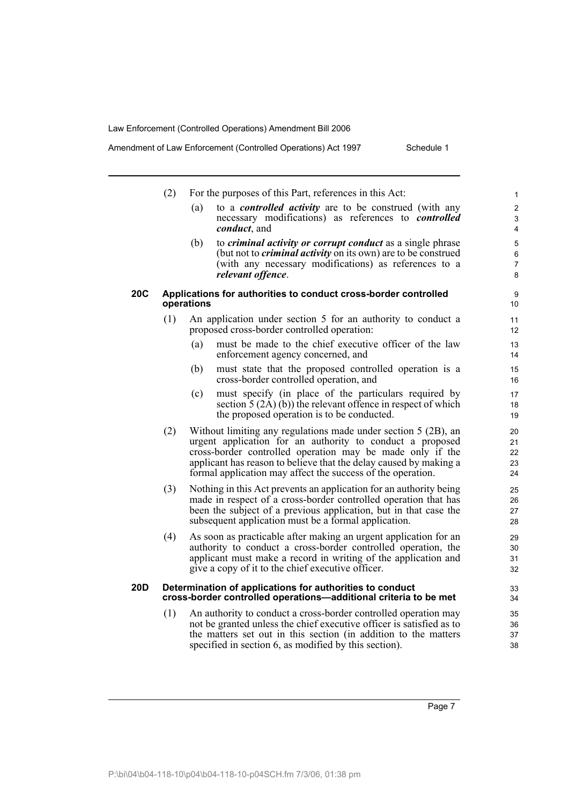|            | (2) | For the purposes of this Part, references in this Act:<br>to a <i>controlled activity</i> are to be construed (with any<br>(a)                                                                                                                                                                                               | $\mathbf{1}$<br>$\boldsymbol{2}$ |
|------------|-----|------------------------------------------------------------------------------------------------------------------------------------------------------------------------------------------------------------------------------------------------------------------------------------------------------------------------------|----------------------------------|
|            |     | necessary modifications) as references to controlled<br><i>conduct</i> , and                                                                                                                                                                                                                                                 | 3<br>4                           |
|            |     | to <i>criminal activity or corrupt conduct</i> as a single phrase<br>(b)<br>(but not to <i>criminal activity</i> on its own) are to be construed<br>(with any necessary modifications) as references to a<br>relevant offence.                                                                                               | 5<br>6<br>$\overline{7}$<br>8    |
| <b>20C</b> |     | Applications for authorities to conduct cross-border controlled<br>operations                                                                                                                                                                                                                                                | 9<br>10                          |
|            | (1) | An application under section 5 for an authority to conduct a<br>proposed cross-border controlled operation:                                                                                                                                                                                                                  | 11<br>12                         |
|            |     | must be made to the chief executive officer of the law<br>(a)<br>enforcement agency concerned, and                                                                                                                                                                                                                           | 13<br>14                         |
|            |     | must state that the proposed controlled operation is a<br>(b)<br>cross-border controlled operation, and                                                                                                                                                                                                                      | 15<br>16                         |
|            |     | must specify (in place of the particulars required by<br>(c)<br>section $5(2A)(b)$ the relevant offence in respect of which<br>the proposed operation is to be conducted.                                                                                                                                                    | 17<br>18<br>19                   |
|            | (2) | Without limiting any regulations made under section 5 (2B), an<br>urgent application for an authority to conduct a proposed<br>cross-border controlled operation may be made only if the<br>applicant has reason to believe that the delay caused by making a<br>formal application may affect the success of the operation. | 20<br>21<br>22<br>23<br>24       |
|            | (3) | Nothing in this Act prevents an application for an authority being<br>made in respect of a cross-border controlled operation that has<br>been the subject of a previous application, but in that case the<br>subsequent application must be a formal application.                                                            | 25<br>26<br>27<br>28             |
|            | (4) | As soon as practicable after making an urgent application for an<br>authority to conduct a cross-border controlled operation, the<br>applicant must make a record in writing of the application and<br>give a copy of it to the chief executive officer.                                                                     | 29<br>30<br>31<br>32             |
| <b>20D</b> |     | Determination of applications for authorities to conduct<br>cross-border controlled operations-additional criteria to be met                                                                                                                                                                                                 | 33<br>34                         |
|            | (1) | An authority to conduct a cross-border controlled operation may<br>not be granted unless the chief executive officer is satisfied as to<br>the matters set out in this section (in addition to the matters<br>specified in section 6, as modified by this section).                                                          | 35<br>36<br>37<br>38             |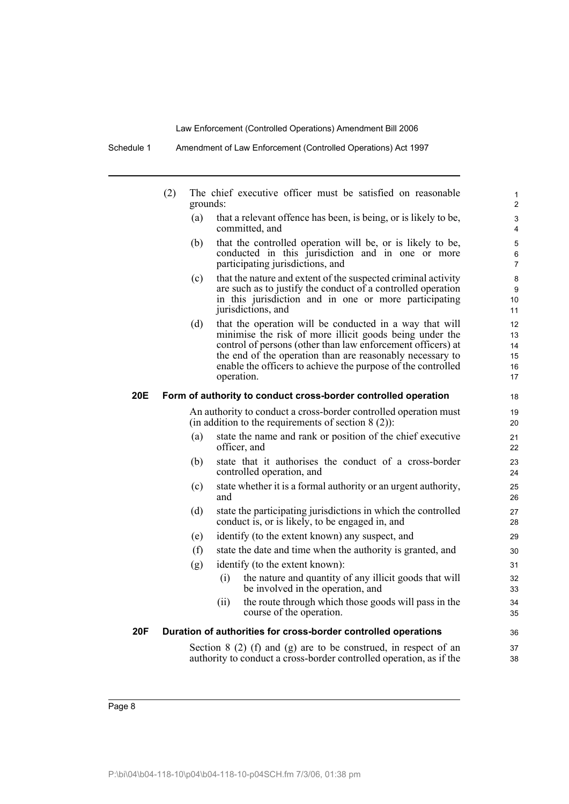- (2) The chief executive officer must be satisfied on reasonable grounds:
	- (a) that a relevant offence has been, is being, or is likely to be, committed, and

36 37 38

- (b) that the controlled operation will be, or is likely to be, conducted in this jurisdiction and in one or more participating jurisdictions, and
- (c) that the nature and extent of the suspected criminal activity are such as to justify the conduct of a controlled operation in this jurisdiction and in one or more participating jurisdictions, and
- (d) that the operation will be conducted in a way that will minimise the risk of more illicit goods being under the control of persons (other than law enforcement officers) at the end of the operation than are reasonably necessary to enable the officers to achieve the purpose of the controlled operation.

#### **20E Form of authority to conduct cross-border controlled operation**

An authority to conduct a cross-border controlled operation must (in addition to the requirements of section  $8(2)$ ):

- (a) state the name and rank or position of the chief executive officer, and
- (b) state that it authorises the conduct of a cross-border controlled operation, and
- (c) state whether it is a formal authority or an urgent authority, and
- (d) state the participating jurisdictions in which the controlled conduct is, or is likely, to be engaged in, and
- (e) identify (to the extent known) any suspect, and
- (f) state the date and time when the authority is granted, and
- (g) identify (to the extent known):
	- (i) the nature and quantity of any illicit goods that will be involved in the operation, and
	- (ii) the route through which those goods will pass in the course of the operation.

#### **20F Duration of authorities for cross-border controlled operations**

Section 8 (2) (f) and (g) are to be construed, in respect of an authority to conduct a cross-border controlled operation, as if the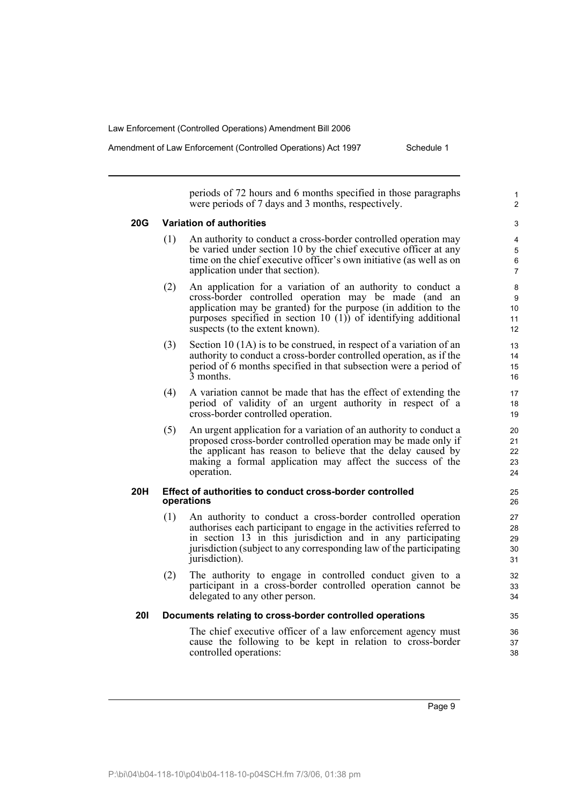Amendment of Law Enforcement (Controlled Operations) Act 1997 Schedule 1

1  $\overline{2}$ 

periods of 72 hours and 6 months specified in those paragraphs were periods of 7 days and 3 months, respectively.

#### **20G Variation of authorities**

- (1) An authority to conduct a cross-border controlled operation may be varied under section 10 by the chief executive officer at any time on the chief executive officer's own initiative (as well as on application under that section).
- (2) An application for a variation of an authority to conduct a cross-border controlled operation may be made (and an application may be granted) for the purpose (in addition to the purposes specified in section 10 (1)) of identifying additional suspects (to the extent known).
- (3) Section 10 (1A) is to be construed, in respect of a variation of an authority to conduct a cross-border controlled operation, as if the period of 6 months specified in that subsection were a period of 3 months.
- (4) A variation cannot be made that has the effect of extending the period of validity of an urgent authority in respect of a cross-border controlled operation.
- (5) An urgent application for a variation of an authority to conduct a proposed cross-border controlled operation may be made only if the applicant has reason to believe that the delay caused by making a formal application may affect the success of the operation.

#### **20H Effect of authorities to conduct cross-border controlled operations**

- (1) An authority to conduct a cross-border controlled operation authorises each participant to engage in the activities referred to in section 13 in this jurisdiction and in any participating jurisdiction (subject to any corresponding law of the participating jurisdiction).
- (2) The authority to engage in controlled conduct given to a participant in a cross-border controlled operation cannot be delegated to any other person.

#### **20I Documents relating to cross-border controlled operations**

The chief executive officer of a law enforcement agency must cause the following to be kept in relation to cross-border controlled operations: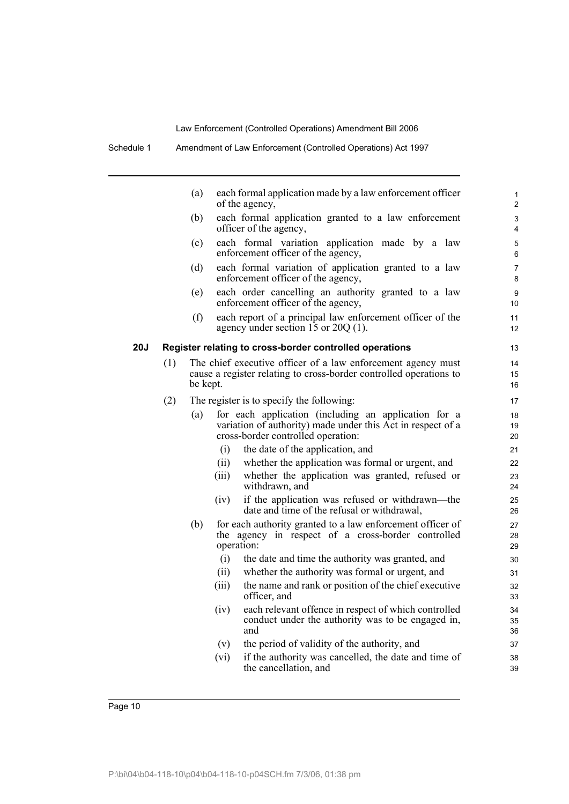|     |     | (a)      | each formal application made by a law enforcement officer<br>of the agency,                                                                               | 1<br>$\overline{2}$    |
|-----|-----|----------|-----------------------------------------------------------------------------------------------------------------------------------------------------------|------------------------|
|     |     | (b)      | each formal application granted to a law enforcement<br>officer of the agency,                                                                            | 3<br>4                 |
|     |     | (c)      | each formal variation application made by a law<br>enforcement officer of the agency,                                                                     | 5<br>6                 |
|     |     | (d)      | each formal variation of application granted to a law<br>enforcement officer of the agency,                                                               | $\overline{7}$<br>8    |
|     |     | (e)      | each order cancelling an authority granted to a law<br>enforcement officer of the agency,                                                                 | $\boldsymbol{9}$<br>10 |
|     |     | (f)      | each report of a principal law enforcement officer of the<br>agency under section 15 or 20 $Q(1)$ .                                                       | 11<br>12               |
| 20J |     |          | Register relating to cross-border controlled operations                                                                                                   | 13                     |
|     | (1) | be kept. | The chief executive officer of a law enforcement agency must<br>cause a register relating to cross-border controlled operations to                        | 14<br>15<br>16         |
|     | (2) |          | The register is to specify the following:                                                                                                                 | 17                     |
|     |     | (a)      | for each application (including an application for a<br>variation of authority) made under this Act in respect of a<br>cross-border controlled operation: | 18<br>19<br>20         |
|     |     |          | the date of the application, and<br>(i)                                                                                                                   | 21                     |
|     |     |          | whether the application was formal or urgent, and<br>(ii)                                                                                                 | 22                     |
|     |     |          | whether the application was granted, refused or<br>(iii)<br>withdrawn, and                                                                                | 23<br>24               |
|     |     |          | if the application was refused or withdrawn—the<br>(iv)<br>date and time of the refusal or withdrawal,                                                    | 25<br>26               |
|     |     | (b)      | for each authority granted to a law enforcement officer of<br>the agency in respect of a cross-border controlled<br>operation:                            | 27<br>28<br>29         |
|     |     |          | the date and time the authority was granted, and<br>(i)                                                                                                   | 30                     |
|     |     |          | whether the authority was formal or urgent, and<br>(ii)                                                                                                   | 31                     |
|     |     |          | the name and rank or position of the chief executive<br>(iii)<br>officer, and                                                                             | 32<br>33               |
|     |     |          | each relevant offence in respect of which controlled<br>(iv)<br>conduct under the authority was to be engaged in,<br>and                                  | 34<br>35<br>36         |
|     |     |          | the period of validity of the authority, and<br>(v)                                                                                                       | 37                     |
|     |     |          | if the authority was cancelled, the date and time of<br>(vi)<br>the cancellation, and                                                                     | 38<br>39               |
|     |     |          |                                                                                                                                                           |                        |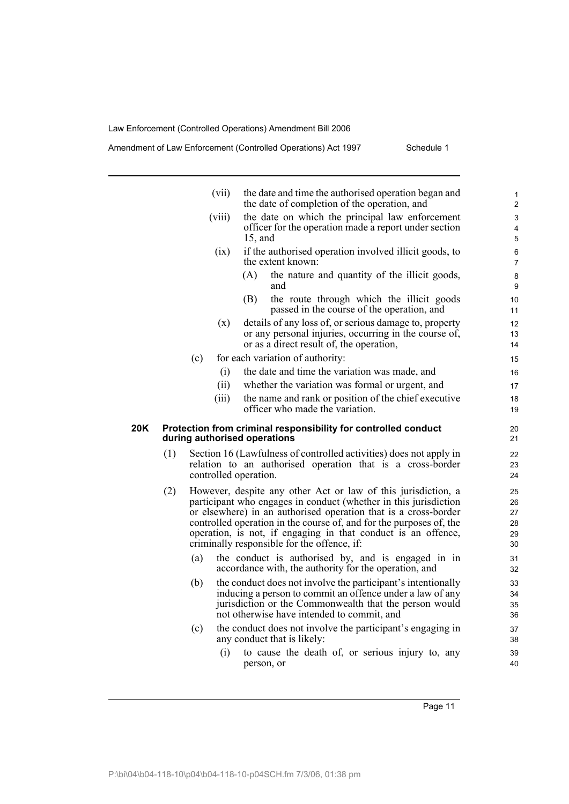Amendment of Law Enforcement (Controlled Operations) Act 1997 Schedule 1

|     |     |     | (vii)  | the date and time the authorised operation began and<br>the date of completion of the operation, and                                                                                                                                                                                                                                                                                        | 1<br>$\overline{2}$              |
|-----|-----|-----|--------|---------------------------------------------------------------------------------------------------------------------------------------------------------------------------------------------------------------------------------------------------------------------------------------------------------------------------------------------------------------------------------------------|----------------------------------|
|     |     |     | (viii) | the date on which the principal law enforcement<br>officer for the operation made a report under section<br>$15$ , and                                                                                                                                                                                                                                                                      | 3<br>4<br>5                      |
|     |     |     | (ix)   | if the authorised operation involved illicit goods, to<br>the extent known:                                                                                                                                                                                                                                                                                                                 | 6<br>$\overline{7}$              |
|     |     |     |        | the nature and quantity of the illicit goods,<br>(A)<br>and                                                                                                                                                                                                                                                                                                                                 | 8<br>9                           |
|     |     |     |        | (B)<br>the route through which the illicit goods<br>passed in the course of the operation, and                                                                                                                                                                                                                                                                                              | 10<br>11                         |
|     |     |     | (x)    | details of any loss of, or serious damage to, property<br>or any personal injuries, occurring in the course of,<br>or as a direct result of, the operation,                                                                                                                                                                                                                                 | 12<br>13<br>14                   |
|     |     | (c) |        | for each variation of authority:                                                                                                                                                                                                                                                                                                                                                            | 15                               |
|     |     |     | (i)    | the date and time the variation was made, and                                                                                                                                                                                                                                                                                                                                               | 16                               |
|     |     |     | (ii)   | whether the variation was formal or urgent, and                                                                                                                                                                                                                                                                                                                                             | 17                               |
|     |     |     | (iii)  | the name and rank or position of the chief executive<br>officer who made the variation.                                                                                                                                                                                                                                                                                                     | 18<br>19                         |
| 20K |     |     |        | Protection from criminal responsibility for controlled conduct<br>during authorised operations                                                                                                                                                                                                                                                                                              | 20<br>21                         |
|     | (1) |     |        | Section 16 (Lawfulness of controlled activities) does not apply in<br>relation to an authorised operation that is a cross-border<br>controlled operation.                                                                                                                                                                                                                                   | 22<br>23<br>24                   |
|     | (2) |     |        | However, despite any other Act or law of this jurisdiction, a<br>participant who engages in conduct (whether in this jurisdiction<br>or elsewhere) in an authorised operation that is a cross-border<br>controlled operation in the course of, and for the purposes of, the<br>operation, is not, if engaging in that conduct is an offence,<br>criminally responsible for the offence, if: | 25<br>26<br>27<br>28<br>29<br>30 |
|     |     | (a) |        | the conduct is authorised by, and is engaged in in<br>accordance with, the authority for the operation, and                                                                                                                                                                                                                                                                                 | 31<br>32                         |
|     |     | (b) |        | the conduct does not involve the participant's intentionally<br>inducing a person to commit an offence under a law of any<br>jurisdiction or the Commonwealth that the person would<br>not otherwise have intended to commit, and                                                                                                                                                           | 33<br>34<br>35<br>36             |
|     |     | (c) |        | the conduct does not involve the participant's engaging in<br>any conduct that is likely:                                                                                                                                                                                                                                                                                                   | 37<br>38                         |
|     |     |     | (i)    | to cause the death of, or serious injury to, any                                                                                                                                                                                                                                                                                                                                            | 39                               |

Page 11

40

person, or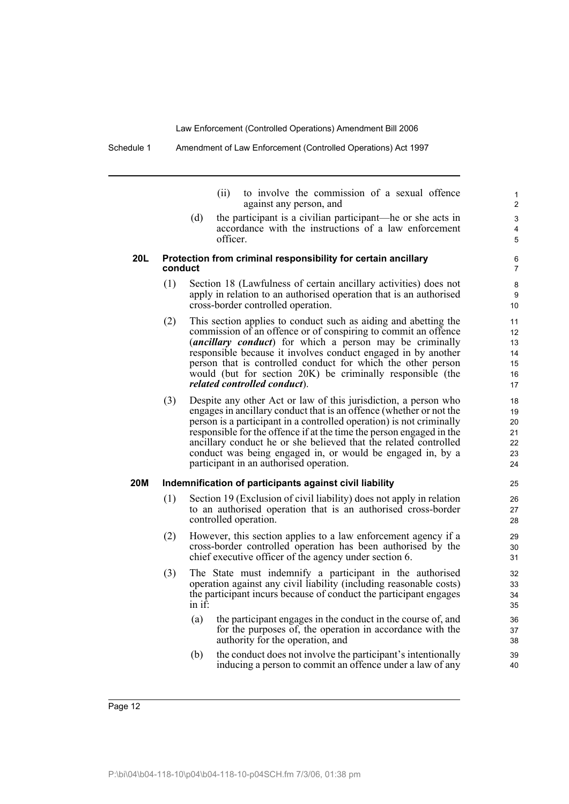(ii) to involve the commission of a sexual offence against any person, and

(d) the participant is a civilian participant—he or she acts in accordance with the instructions of a law enforcement officer.

#### **20L Protection from criminal responsibility for certain ancillary conduct**

- (1) Section 18 (Lawfulness of certain ancillary activities) does not apply in relation to an authorised operation that is an authorised cross-border controlled operation.
- (2) This section applies to conduct such as aiding and abetting the commission of an offence or of conspiring to commit an offence (*ancillary conduct*) for which a person may be criminally responsible because it involves conduct engaged in by another person that is controlled conduct for which the other person would (but for section 20K) be criminally responsible (the *related controlled conduct*).
- (3) Despite any other Act or law of this jurisdiction, a person who engages in ancillary conduct that is an offence (whether or not the person is a participant in a controlled operation) is not criminally responsible for the offence if at the time the person engaged in the ancillary conduct he or she believed that the related controlled conduct was being engaged in, or would be engaged in, by a participant in an authorised operation.

#### **20M Indemnification of participants against civil liability**

- (1) Section 19 (Exclusion of civil liability) does not apply in relation to an authorised operation that is an authorised cross-border controlled operation.
- (2) However, this section applies to a law enforcement agency if a cross-border controlled operation has been authorised by the chief executive officer of the agency under section 6.
- (3) The State must indemnify a participant in the authorised operation against any civil liability (including reasonable costs) the participant incurs because of conduct the participant engages in if:
	- (a) the participant engages in the conduct in the course of, and for the purposes of, the operation in accordance with the authority for the operation, and
	- (b) the conduct does not involve the participant's intentionally inducing a person to commit an offence under a law of any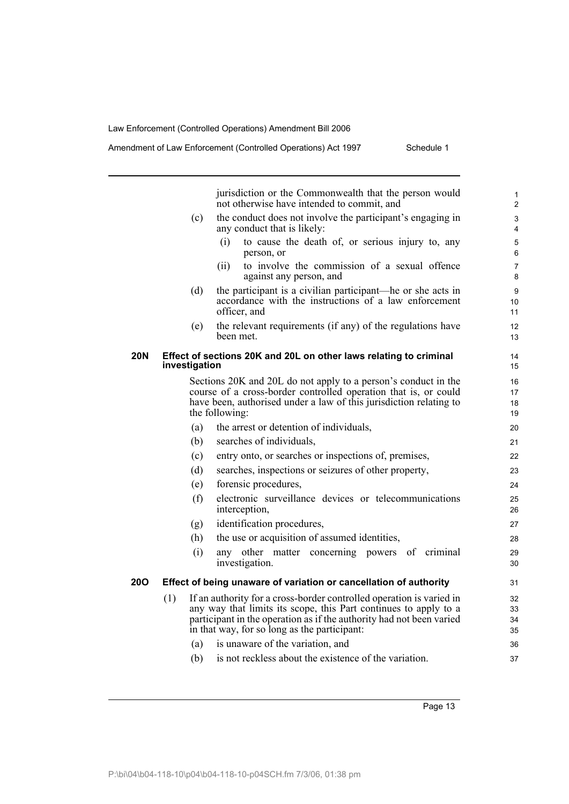jurisdiction or the Commonwealth that the person would not otherwise have intended to commit, and (c) the conduct does not involve the participant's engaging in any conduct that is likely: (i) to cause the death of, or serious injury to, any person, or (ii) to involve the commission of a sexual offence against any person, and (d) the participant is a civilian participant—he or she acts in accordance with the instructions of a law enforcement officer, and (e) the relevant requirements (if any) of the regulations have been met. **20N Effect of sections 20K and 20L on other laws relating to criminal investigation** Sections 20K and 20L do not apply to a person's conduct in the course of a cross-border controlled operation that is, or could have been, authorised under a law of this jurisdiction relating to the following: (a) the arrest or detention of individuals, (b) searches of individuals, (c) entry onto, or searches or inspections of, premises, (d) searches, inspections or seizures of other property, (e) forensic procedures, (f) electronic surveillance devices or telecommunications interception, (g) identification procedures, (h) the use or acquisition of assumed identities, (i) any other matter concerning powers of criminal investigation. **20O Effect of being unaware of variation or cancellation of authority** (1) If an authority for a cross-border controlled operation is varied in any way that limits its scope, this Part continues to apply to a participant in the operation as if the authority had not been varied in that way, for so long as the participant: (a) is unaware of the variation, and (b) is not reckless about the existence of the variation. 1 2 3 4 5 6 7 8  $\alpha$  $10$ 11 12 13 14 15 16 17 18 19 20 21 22 23 24  $25$ 26 27 28 29 30 31 32 33 34 35 36 37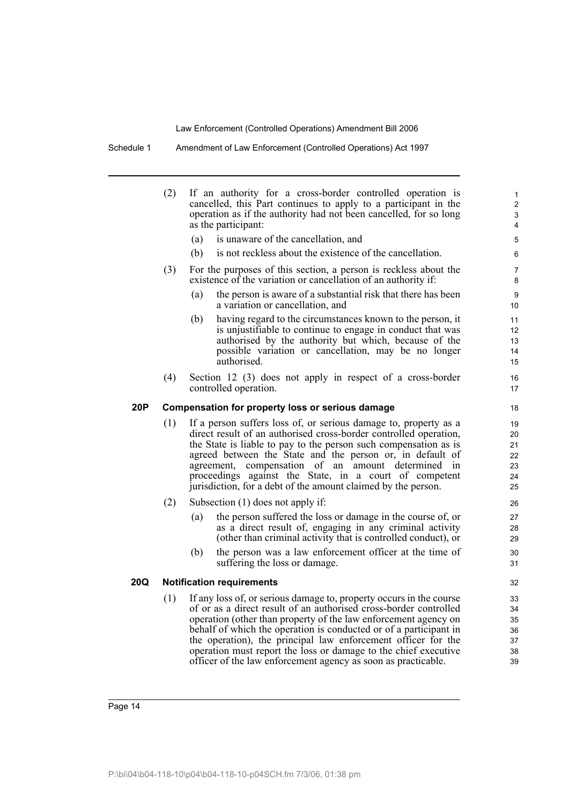Schedule 1 Amendment of Law Enforcement (Controlled Operations) Act 1997

| (2) |     | If an authority for a cross-border controlled operation is<br>cancelled, this Part continues to apply to a participant in the<br>operation as if the authority had not been cancelled, for so long<br>as the participant: |
|-----|-----|---------------------------------------------------------------------------------------------------------------------------------------------------------------------------------------------------------------------------|
|     | (a) | is unaware of the cancellation, and                                                                                                                                                                                       |
|     | (b) | is not reckless about the existence of the cancellation.                                                                                                                                                                  |

- (3) For the purposes of this section, a person is reckless about the existence of the variation or cancellation of an authority if:
	- (a) the person is aware of a substantial risk that there has been a variation or cancellation, and
	- (b) having regard to the circumstances known to the person, it is unjustifiable to continue to engage in conduct that was authorised by the authority but which, because of the possible variation or cancellation, may be no longer authorised.
- (4) Section 12 (3) does not apply in respect of a cross-border controlled operation.

#### **20P Compensation for property loss or serious damage**

- (1) If a person suffers loss of, or serious damage to, property as a direct result of an authorised cross-border controlled operation, the State is liable to pay to the person such compensation as is agreed between the State and the person or, in default of agreement, compensation of an amount determined in proceedings against the State, in a court of competent jurisdiction, for a debt of the amount claimed by the person.
- (2) Subsection (1) does not apply if:
	- (a) the person suffered the loss or damage in the course of, or as a direct result of, engaging in any criminal activity (other than criminal activity that is controlled conduct), or
	- (b) the person was a law enforcement officer at the time of suffering the loss or damage.

**20Q Notification requirements**

(1) If any loss of, or serious damage to, property occurs in the course of or as a direct result of an authorised cross-border controlled operation (other than property of the law enforcement agency on behalf of which the operation is conducted or of a participant in the operation), the principal law enforcement officer for the operation must report the loss or damage to the chief executive officer of the law enforcement agency as soon as practicable.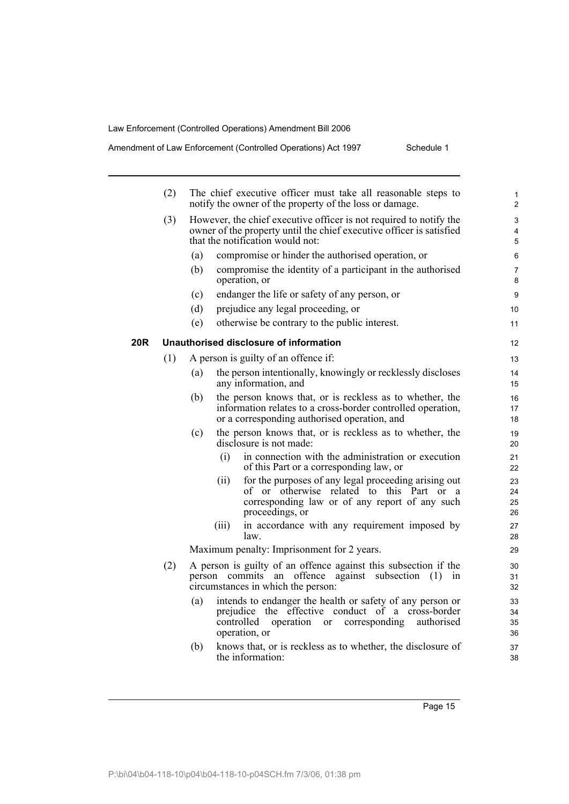|     | (2) | The chief executive officer must take all reasonable steps to<br>notify the owner of the property of the loss or damage.                                                                               | $\mathbf{1}$<br>$\overline{2}$ |
|-----|-----|--------------------------------------------------------------------------------------------------------------------------------------------------------------------------------------------------------|--------------------------------|
|     | (3) | However, the chief executive officer is not required to notify the<br>owner of the property until the chief executive officer is satisfied<br>that the notification would not:                         | 3<br>4<br>5                    |
|     |     | compromise or hinder the authorised operation, or<br>(a)                                                                                                                                               | 6                              |
|     |     | compromise the identity of a participant in the authorised<br>(b)<br>operation, or                                                                                                                     | 7<br>8                         |
|     |     | endanger the life or safety of any person, or<br>(c)                                                                                                                                                   | 9                              |
|     |     | (d)<br>prejudice any legal proceeding, or                                                                                                                                                              | 10                             |
|     |     | otherwise be contrary to the public interest.<br>(e)                                                                                                                                                   | 11                             |
| 20R |     | Unauthorised disclosure of information                                                                                                                                                                 | 12                             |
|     | (1) | A person is guilty of an offence if:                                                                                                                                                                   | 13                             |
|     |     | the person intentionally, knowingly or recklessly discloses<br>(a)<br>any information, and                                                                                                             | 14<br>15                       |
|     |     | the person knows that, or is reckless as to whether, the<br>(b)<br>information relates to a cross-border controlled operation,<br>or a corresponding authorised operation, and                         | 16<br>17<br>18                 |
|     |     | the person knows that, or is reckless as to whether, the<br>(c)<br>disclosure is not made:                                                                                                             | 19<br>20                       |
|     |     | in connection with the administration or execution<br>(i)<br>of this Part or a corresponding law, or                                                                                                   | 21<br>22                       |
|     |     | for the purposes of any legal proceeding arising out<br>(ii)<br>of or otherwise related to this Part or a<br>corresponding law or of any report of any such<br>proceedings, or                         | 23<br>24<br>25<br>26           |
|     |     | in accordance with any requirement imposed by<br>(iii)<br>law                                                                                                                                          | 27<br>28                       |
|     |     | Maximum penalty: Imprisonment for 2 years.                                                                                                                                                             | 29                             |
|     | (2) | A person is guilty of an offence against this subsection if the<br>person commits an offence<br>against subsection<br>(1)<br>circumstances in which the person:                                        | 30<br>in<br>31<br>32           |
|     |     | intends to endanger the health or safety of any person or<br>(a)<br>prejudice the effective conduct of a cross-border<br>controlled<br>operation<br>corresponding<br>authorised<br>or<br>operation, or | 33<br>34<br>35<br>36           |
|     |     | knows that, or is reckless as to whether, the disclosure of<br>(b)<br>the information:                                                                                                                 | 37<br>38                       |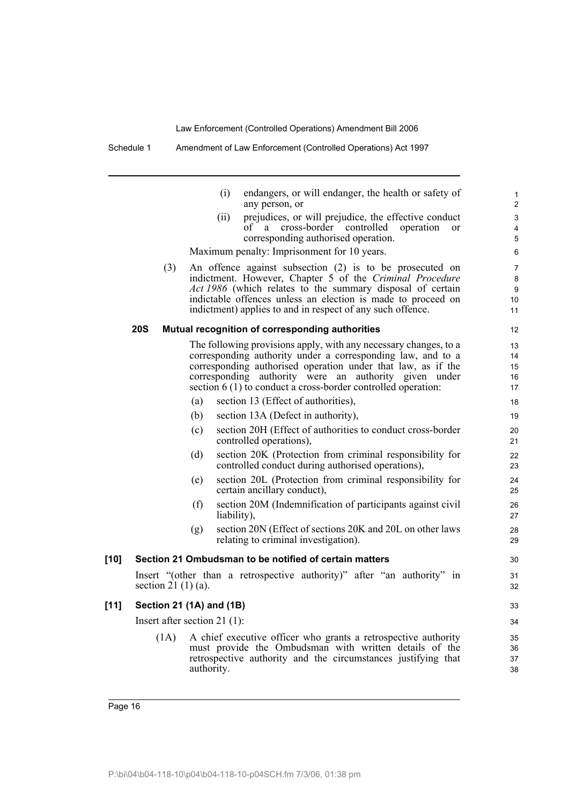Schedule 1 Amendment of Law Enforcement (Controlled Operations) Act 1997

|        |                          | (i)                             | endangers, or will endanger, the health or safety of<br>any person, or                                                      | 1<br>$\overline{2}$ |
|--------|--------------------------|---------------------------------|-----------------------------------------------------------------------------------------------------------------------------|---------------------|
|        |                          | (ii)                            | prejudices, or will prejudice, the effective conduct                                                                        | 3                   |
|        |                          |                                 | of a cross-border controlled<br>operation<br><sub>or</sub><br>corresponding authorised operation.                           | 4<br>5              |
|        |                          |                                 | Maximum penalty: Imprisonment for 10 years.                                                                                 | 6                   |
|        | (3)                      |                                 | An offence against subsection (2) is to be prosecuted on<br>indictment. However, Chapter 5 of the Criminal Procedure        | 7<br>8              |
|        |                          |                                 | Act 1986 (which relates to the summary disposal of certain                                                                  | 9                   |
|        |                          |                                 | indictable offences unless an election is made to proceed on<br>indictment) applies to and in respect of any such offence.  | 10<br>11            |
|        | <b>20S</b>               |                                 | Mutual recognition of corresponding authorities                                                                             | 12                  |
|        |                          |                                 | The following provisions apply, with any necessary changes, to a                                                            | 13                  |
|        |                          |                                 | corresponding authority under a corresponding law, and to a<br>corresponding authorised operation under that law, as if the | 14<br>15            |
|        |                          |                                 | corresponding authority were an authority given under                                                                       | 16                  |
|        |                          |                                 | section 6 (1) to conduct a cross-border controlled operation:                                                               | 17                  |
|        |                          | (a)                             | section 13 (Effect of authorities),<br>section 13A (Defect in authority),                                                   | 18                  |
|        |                          | (b)<br>(c)                      | section 20H (Effect of authorities to conduct cross-border                                                                  | 19                  |
|        |                          |                                 | controlled operations),                                                                                                     | 20<br>21            |
|        |                          | (d)                             | section 20K (Protection from criminal responsibility for<br>controlled conduct during authorised operations),               | 22<br>23            |
|        |                          | (e)                             | section 20L (Protection from criminal responsibility for<br>certain ancillary conduct),                                     | 24<br>25            |
|        |                          | (f)                             | section 20M (Indemnification of participants against civil<br>liability),                                                   | 26<br>27            |
|        |                          | (g)                             | section 20N (Effect of sections 20K and 20L on other laws<br>relating to criminal investigation).                           | 28<br>29            |
| $[10]$ |                          |                                 | Section 21 Ombudsman to be notified of certain matters                                                                      | 30                  |
|        | section 21 $(1)$ $(a)$ . |                                 | Insert "(other than a retrospective authority)" after "an authority" in                                                     | 31<br>32            |
| [11]   |                          | Section 21 (1A) and (1B)        |                                                                                                                             | 33                  |
|        |                          | Insert after section 21 $(1)$ : |                                                                                                                             | 34                  |
|        | (1A)                     |                                 | A chief executive officer who grants a retrospective authority                                                              | 35                  |
|        |                          |                                 | must provide the Ombudsman with written details of the<br>retrospective authority and the circumstances justifying that     | 36                  |
|        |                          | authority.                      |                                                                                                                             | 37<br>38            |
|        |                          |                                 |                                                                                                                             |                     |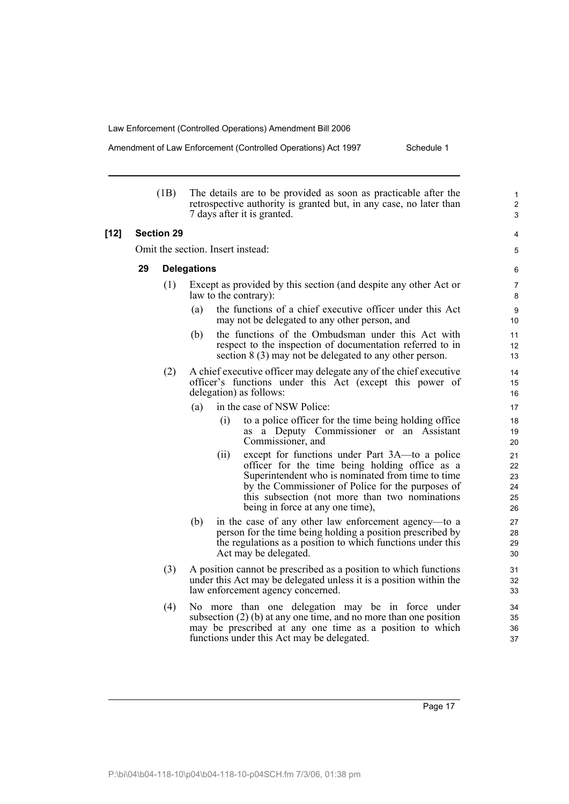Amendment of Law Enforcement (Controlled Operations) Act 1997 Schedule 1

|        |    | (1B)              | The details are to be provided as soon as practicable after the<br>retrospective authority is granted but, in any case, no later than<br>7 days after it is granted.                                                                                                                                     | 1<br>$\overline{2}$<br>3         |
|--------|----|-------------------|----------------------------------------------------------------------------------------------------------------------------------------------------------------------------------------------------------------------------------------------------------------------------------------------------------|----------------------------------|
| $[12]$ |    | <b>Section 29</b> |                                                                                                                                                                                                                                                                                                          | 4                                |
|        |    |                   | Omit the section. Insert instead:                                                                                                                                                                                                                                                                        | 5                                |
|        | 29 |                   | <b>Delegations</b>                                                                                                                                                                                                                                                                                       | 6                                |
|        |    | (1)               | Except as provided by this section (and despite any other Act or<br>law to the contrary):                                                                                                                                                                                                                | 7<br>8                           |
|        |    |                   | the functions of a chief executive officer under this Act<br>(a)<br>may not be delegated to any other person, and                                                                                                                                                                                        | 9<br>10                          |
|        |    |                   | the functions of the Ombudsman under this Act with<br>(b)<br>respect to the inspection of documentation referred to in<br>section 8 (3) may not be delegated to any other person.                                                                                                                        | 11<br>12 <sup>2</sup><br>13      |
|        |    | (2)               | A chief executive officer may delegate any of the chief executive<br>officer's functions under this Act (except this power of<br>delegation) as follows:                                                                                                                                                 | 14<br>15<br>16                   |
|        |    |                   | in the case of NSW Police:<br>(a)                                                                                                                                                                                                                                                                        | 17                               |
|        |    |                   | to a police officer for the time being holding office<br>(i)<br>as a Deputy Commissioner or an Assistant<br>Commissioner, and                                                                                                                                                                            | 18<br>19<br>20                   |
|        |    |                   | except for functions under Part 3A—to a police<br>(ii)<br>officer for the time being holding office as a<br>Superintendent who is nominated from time to time<br>by the Commissioner of Police for the purposes of<br>this subsection (not more than two nominations<br>being in force at any one time), | 21<br>22<br>23<br>24<br>25<br>26 |
|        |    |                   | in the case of any other law enforcement agency—to a<br>(b)<br>person for the time being holding a position prescribed by<br>the regulations as a position to which functions under this<br>Act may be delegated.                                                                                        | 27<br>28<br>29<br>30             |
|        |    | (3)               | A position cannot be prescribed as a position to which functions<br>under this Act may be delegated unless it is a position within the<br>law enforcement agency concerned.                                                                                                                              | 31<br>32<br>33                   |
|        |    | (4)               | No more than one delegation may be in force under<br>subsection $(2)$ (b) at any one time, and no more than one position<br>may be prescribed at any one time as a position to which<br>functions under this Act may be delegated.                                                                       | 34<br>35<br>36<br>37             |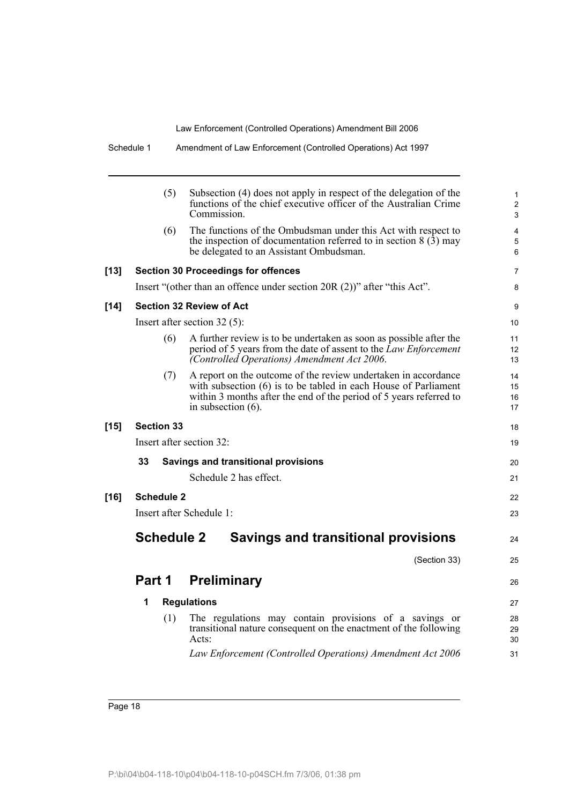|        | (5)               | Subsection (4) does not apply in respect of the delegation of the<br>functions of the chief executive officer of the Australian Crime<br>Commission.                                                                             | $\mathbf{1}$<br>2<br>3 |
|--------|-------------------|----------------------------------------------------------------------------------------------------------------------------------------------------------------------------------------------------------------------------------|------------------------|
|        | (6)               | The functions of the Ombudsman under this Act with respect to<br>the inspection of documentation referred to in section $8(3)$ may<br>be delegated to an Assistant Ombudsman.                                                    | 4<br>5<br>6            |
| $[13]$ |                   | <b>Section 30 Proceedings for offences</b>                                                                                                                                                                                       | $\overline{7}$         |
|        |                   | Insert "(other than an offence under section $20R(2)$ )" after "this Act".                                                                                                                                                       | 8                      |
| $[14]$ |                   | <b>Section 32 Review of Act</b>                                                                                                                                                                                                  | 9                      |
|        |                   | Insert after section $32(5)$ :                                                                                                                                                                                                   | 10                     |
|        | (6)               | A further review is to be undertaken as soon as possible after the<br>period of 5 years from the date of assent to the Law Enforcement<br>(Controlled Operations) Amendment Act 2006.                                            | 11<br>12<br>13         |
|        | (7)               | A report on the outcome of the review undertaken in accordance<br>with subsection (6) is to be tabled in each House of Parliament<br>within 3 months after the end of the period of 5 years referred to<br>in subsection $(6)$ . | 14<br>15<br>16<br>17   |
| $[15]$ | <b>Section 33</b> |                                                                                                                                                                                                                                  | 18                     |
|        |                   | Insert after section 32:                                                                                                                                                                                                         | 19                     |
|        | 33                | <b>Savings and transitional provisions</b>                                                                                                                                                                                       | 20                     |
|        |                   | Schedule 2 has effect.                                                                                                                                                                                                           | 21                     |
| $[16]$ | <b>Schedule 2</b> |                                                                                                                                                                                                                                  | 22                     |
|        |                   | Insert after Schedule 1:                                                                                                                                                                                                         | 23                     |
|        | <b>Schedule 2</b> | <b>Savings and transitional provisions</b>                                                                                                                                                                                       | 24                     |
|        |                   | (Section 33)                                                                                                                                                                                                                     | 25                     |
|        | Part 1            | <b>Preliminary</b>                                                                                                                                                                                                               | 26                     |
|        | 1                 | <b>Regulations</b>                                                                                                                                                                                                               | 27                     |
|        | (1)               | The regulations may contain provisions of a savings or<br>transitional nature consequent on the enactment of the following<br>Acts:                                                                                              | 28<br>29<br>30         |
|        |                   | Law Enforcement (Controlled Operations) Amendment Act 2006                                                                                                                                                                       | 31                     |

Schedule 1 Amendment of Law Enforcement (Controlled Operations) Act 1997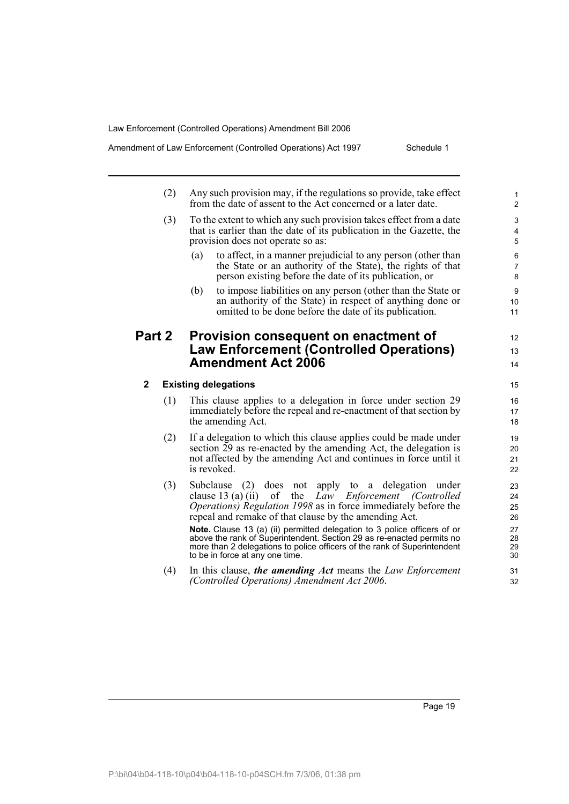|              | (2)           | Any such provision may, if the regulations so provide, take effect<br>from the date of assent to the Act concerned or a later date.                                                                                                                                                                                                                                                                                                                                                                                                | $\mathbf{1}$<br>$\overline{2}$               |
|--------------|---------------|------------------------------------------------------------------------------------------------------------------------------------------------------------------------------------------------------------------------------------------------------------------------------------------------------------------------------------------------------------------------------------------------------------------------------------------------------------------------------------------------------------------------------------|----------------------------------------------|
| (3)          |               | To the extent to which any such provision takes effect from a date<br>that is earlier than the date of its publication in the Gazette, the<br>provision does not operate so as:                                                                                                                                                                                                                                                                                                                                                    | 3<br>4<br>5                                  |
|              |               | to affect, in a manner prejudicial to any person (other than<br>(a)<br>the State or an authority of the State), the rights of that<br>person existing before the date of its publication, or                                                                                                                                                                                                                                                                                                                                       | 6<br>$\overline{7}$<br>8                     |
|              |               | to impose liabilities on any person (other than the State or<br>(b)<br>an authority of the State) in respect of anything done or<br>omitted to be done before the date of its publication.                                                                                                                                                                                                                                                                                                                                         | 9<br>10<br>11                                |
|              | <b>Part 2</b> | Provision consequent on enactment of<br><b>Law Enforcement (Controlled Operations)</b><br><b>Amendment Act 2006</b>                                                                                                                                                                                                                                                                                                                                                                                                                | 12<br>13<br>14                               |
| $\mathbf{2}$ |               | <b>Existing delegations</b>                                                                                                                                                                                                                                                                                                                                                                                                                                                                                                        | 15                                           |
|              | (1)           | This clause applies to a delegation in force under section 29<br>immediately before the repeal and re-enactment of that section by<br>the amending Act.                                                                                                                                                                                                                                                                                                                                                                            | 16<br>17<br>18                               |
|              | (2)           | If a delegation to which this clause applies could be made under<br>section 29 as re-enacted by the amending Act, the delegation is<br>not affected by the amending Act and continues in force until it<br>is revoked.                                                                                                                                                                                                                                                                                                             | 19<br>20<br>21<br>22                         |
|              | (3)           | Subclause<br>(2)<br>does not<br>apply to a delegation<br>under<br>of<br>the<br>Law<br>Enforcement (Controlled<br>clause $13(a)(ii)$<br>Operations) Regulation 1998 as in force immediately before the<br>repeal and remake of that clause by the amending Act.<br>Note. Clause 13 (a) (ii) permitted delegation to 3 police officers of or<br>above the rank of Superintendent. Section 29 as re-enacted permits no<br>more than 2 delegations to police officers of the rank of Superintendent<br>to be in force at any one time. | 23<br>24<br>25<br>26<br>27<br>28<br>29<br>30 |
|              | (4)           | In this clause, the amending Act means the Law Enforcement<br>(Controlled Operations) Amendment Act 2006.                                                                                                                                                                                                                                                                                                                                                                                                                          | 31<br>32                                     |
|              |               |                                                                                                                                                                                                                                                                                                                                                                                                                                                                                                                                    |                                              |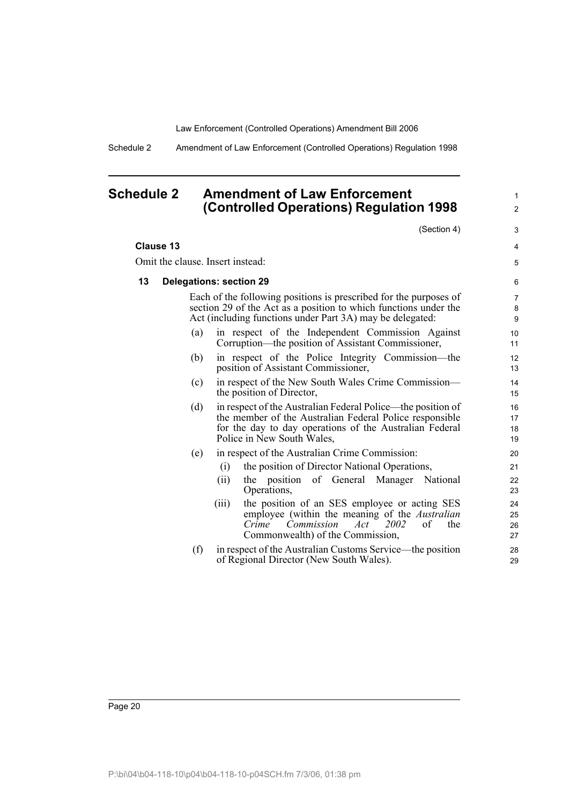Schedule 2 Amendment of Law Enforcement (Controlled Operations) Regulation 1998

### <span id="page-29-0"></span>**Schedule 2 Amendment of Law Enforcement (Controlled Operations) Regulation 1998**

(Section 4)

1 2

3 4 5

#### **Clause 13**

Omit the clause. Insert instead:

#### **13 Delegations: section 29**

Each of the following positions is prescribed for the purposes of section 29 of the Act as a position to which functions under the Act (including functions under Part 3A) may be delegated:

- (a) in respect of the Independent Commission Against Corruption—the position of Assistant Commissioner,
- (b) in respect of the Police Integrity Commission—the position of Assistant Commissioner,
- (c) in respect of the New South Wales Crime Commission the position of Director,
- (d) in respect of the Australian Federal Police—the position of the member of the Australian Federal Police responsible for the day to day operations of the Australian Federal Police in New South Wales,
- (e) in respect of the Australian Crime Commission:
	- (i) the position of Director National Operations,
	- (ii) the position of General Manager National Operations,
	- (iii) the position of an SES employee or acting SES employee (within the meaning of the *Australian Crime Commission Act 2002* of the Commonwealth) of the Commission,
- (f) in respect of the Australian Customs Service—the position of Regional Director (New South Wales).